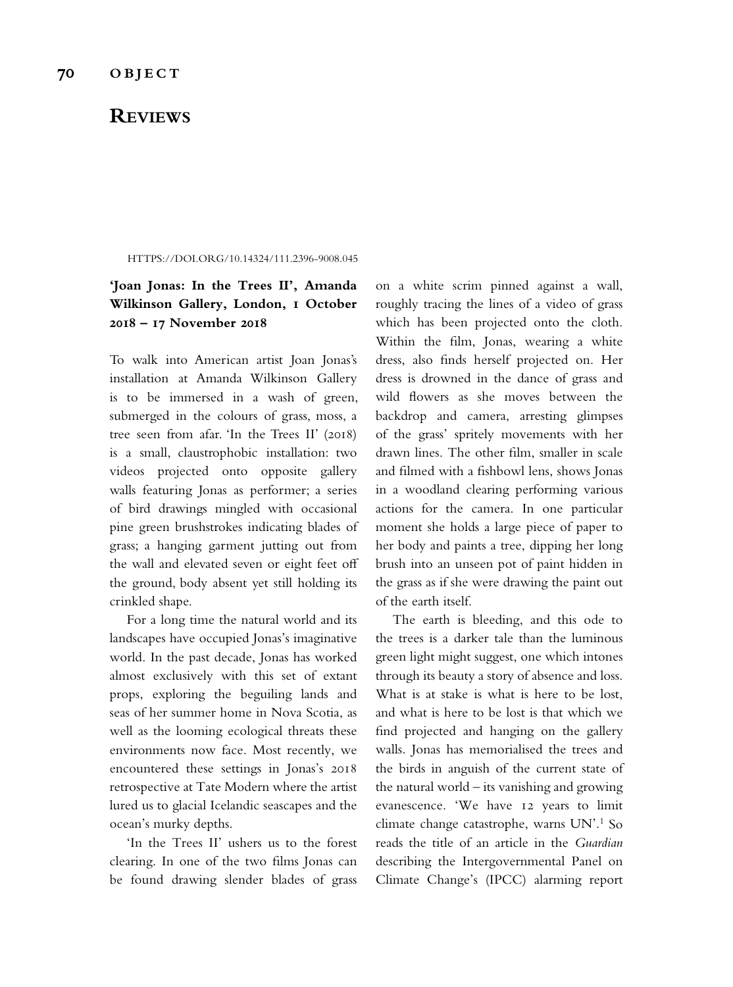## **REVIEWS**

HTTPS://DOI.ORG/10.14324/111.2396-9008.045

## **'Joan Jonas: In the Trees II', Amanda Wilkinson Gallery, London, 1 October 2018 – 17 November 2018**

To walk into American artist Joan Jonas's installation at Amanda Wilkinson Gallery is to be immersed in a wash of green, submerged in the colours of grass, moss, a tree seen from afar. 'In the Trees II' (2018) is a small, claustrophobic installation: two videos projected onto opposite gallery walls featuring Jonas as performer; a series of bird drawings mingled with occasional pine green brushstrokes indicating blades of grass; a hanging garment jutting out from the wall and elevated seven or eight feet of the ground, body absent yet still holding its crinkled shape.

For a long time the natural world and its landscapes have occupied Jonas's imaginative world. In the past decade, Jonas has worked almost exclusively with this set of extant props, exploring the beguiling lands and seas of her summer home in Nova Scotia, as well as the looming ecological threats these environments now face. Most recently, we encountered these settings in Jonas's 2018 retrospective at Tate Modern where the artist lured us to glacial Icelandic seascapes and the ocean's murky depths.

'In the Trees II' ushers us to the forest clearing. In one of the two flms Jonas can be found drawing slender blades of grass on a white scrim pinned against a wall, roughly tracing the lines of a video of grass which has been projected onto the cloth. Within the flm, Jonas, wearing a white dress, also fnds herself projected on. Her dress is drowned in the dance of grass and wild fowers as she moves between the backdrop and camera, arresting glimpses of the grass' spritely movements with her drawn lines. The other flm, smaller in scale and flmed with a fshbowl lens, shows Jonas in a woodland clearing performing various actions for the camera. In one particular moment she holds a large piece of paper to her body and paints a tree, dipping her long brush into an unseen pot of paint hidden in the grass as if she were drawing the paint out of the earth itself.

The earth is bleeding, and this ode to the trees is a darker tale than the luminous green light might suggest, one which intones through its beauty a story of absence and loss. What is at stake is what is here to be lost, and what is here to be lost is that which we fnd projected and hanging on the gallery walls. Jonas has memorialised the trees and the birds in anguish of the current state of the natural world – its vanishing and growing evanescence. 'We have 12 years to limit climate change catastrophe, warns UN'.1 So reads the title of an article in the *Guardian* describing the Intergovernmental Panel on Climate Change's (IPCC) alarming report